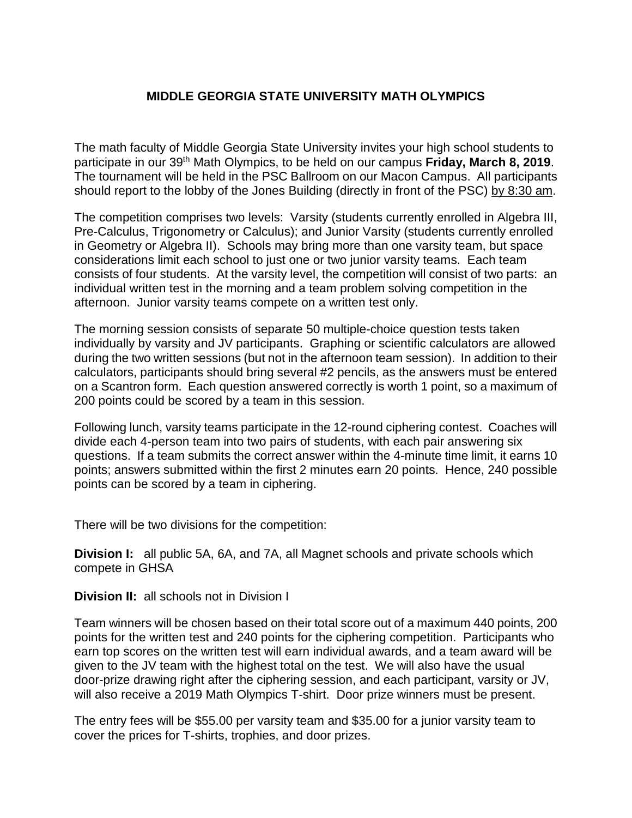## **MIDDLE GEORGIA STATE UNIVERSITY MATH OLYMPICS**

The math faculty of Middle Georgia State University invites your high school students to participate in our 39th Math Olympics, to be held on our campus **Friday, March 8, 2019**. The tournament will be held in the PSC Ballroom on our Macon Campus. All participants should report to the lobby of the Jones Building (directly in front of the PSC) by 8:30 am.

The competition comprises two levels: Varsity (students currently enrolled in Algebra III, Pre-Calculus, Trigonometry or Calculus); and Junior Varsity (students currently enrolled in Geometry or Algebra II). Schools may bring more than one varsity team, but space considerations limit each school to just one or two junior varsity teams. Each team consists of four students. At the varsity level, the competition will consist of two parts: an individual written test in the morning and a team problem solving competition in the afternoon. Junior varsity teams compete on a written test only.

The morning session consists of separate 50 multiple-choice question tests taken individually by varsity and JV participants. Graphing or scientific calculators are allowed during the two written sessions (but not in the afternoon team session). In addition to their calculators, participants should bring several #2 pencils, as the answers must be entered on a Scantron form. Each question answered correctly is worth 1 point, so a maximum of 200 points could be scored by a team in this session.

Following lunch, varsity teams participate in the 12-round ciphering contest. Coaches will divide each 4-person team into two pairs of students, with each pair answering six questions. If a team submits the correct answer within the 4-minute time limit, it earns 10 points; answers submitted within the first 2 minutes earn 20 points. Hence, 240 possible points can be scored by a team in ciphering.

There will be two divisions for the competition:

**Division I:** all public 5A, 6A, and 7A, all Magnet schools and private schools which compete in GHSA

**Division II:** all schools not in Division I

Team winners will be chosen based on their total score out of a maximum 440 points, 200 points for the written test and 240 points for the ciphering competition. Participants who earn top scores on the written test will earn individual awards, and a team award will be given to the JV team with the highest total on the test. We will also have the usual door-prize drawing right after the ciphering session, and each participant, varsity or JV, will also receive a 2019 Math Olympics T-shirt. Door prize winners must be present.

The entry fees will be \$55.00 per varsity team and \$35.00 for a junior varsity team to cover the prices for T-shirts, trophies, and door prizes.